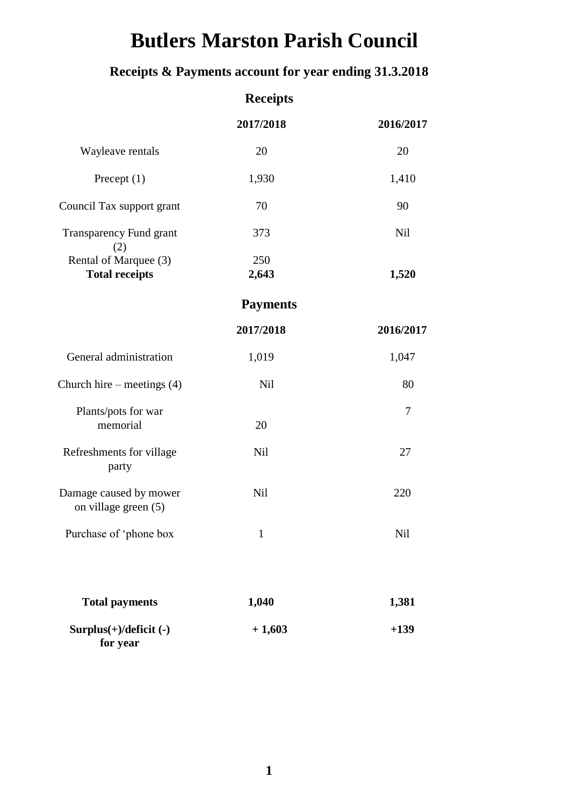# **Butlers Marston Parish Council**

## **Receipts & Payments account for year ending 31.3.2018**

|                                                | <b>Receipts</b> |            |
|------------------------------------------------|-----------------|------------|
|                                                | 2017/2018       | 2016/2017  |
| Wayleave rentals                               | 20              | 20         |
| Precept $(1)$                                  | 1,930           | 1,410      |
| Council Tax support grant                      | 70              | 90         |
| <b>Transparency Fund grant</b><br>(2)          | 373             | <b>Nil</b> |
| Rental of Marquee (3)<br><b>Total receipts</b> | 250<br>2,643    | 1,520      |
|                                                | <b>Payments</b> |            |
|                                                | 2017/2018       | 2016/2017  |
| General administration                         | 1,019           | 1,047      |
| Church hire – meetings $(4)$                   | <b>Nil</b>      | 80         |
| Plants/pots for war<br>memorial                | 20              | 7          |
| Refreshments for village<br>party              | <b>Nil</b>      | 27         |
| Damage caused by mower<br>on village green (5) | <b>Nil</b>      | 220        |
| Purchase of 'phone box                         | $\mathbf{1}$    | Nil        |
| <b>Total payments</b>                          | 1,040           | 1,381      |
| $Surplus(+)/deficit (-)$<br>for year           | $+1,603$        | $+139$     |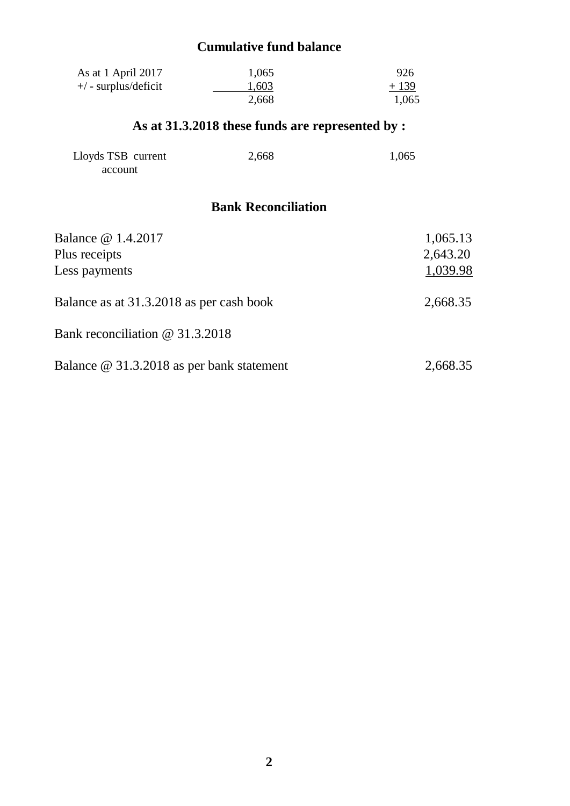### **Cumulative fund balance**

| As at 1 April 2017   | 1,065 | 926    |
|----------------------|-------|--------|
| +/ - surplus/deficit | 1,603 | $+139$ |
|                      | 2,668 | 1,065  |

## **As at 31.3.2018 these funds are represented by :**

| Lloyds TSB current | 2,668 | 1,065 |
|--------------------|-------|-------|
| account            |       |       |

### **Bank Reconciliation**

| Balance @ 1.4.2017<br>Plus receipts<br>Less payments | 1,065.13<br>2,643.20<br>1,039.98 |
|------------------------------------------------------|----------------------------------|
| Balance as at 31.3.2018 as per cash book             | 2,668.35                         |
| Bank reconciliation @ 31.3.2018                      |                                  |
| Balance @ 31.3.2018 as per bank statement            | 2,668.35                         |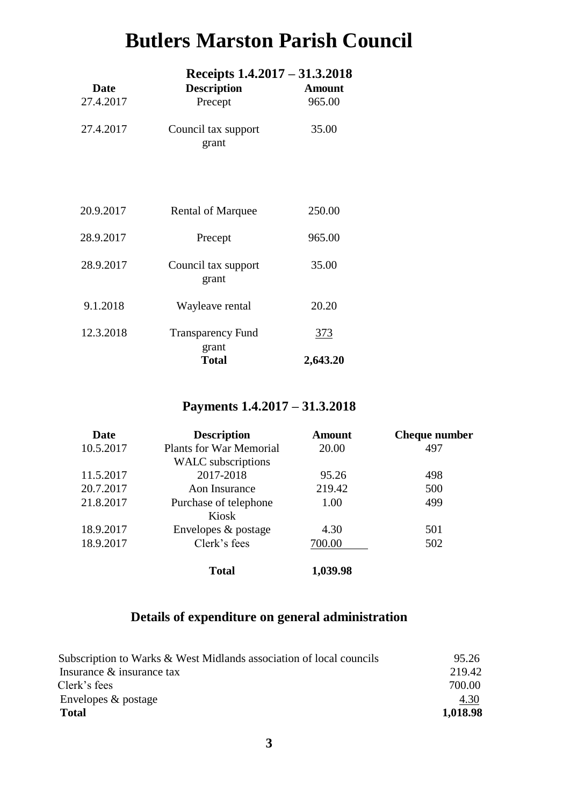## **Butlers Marston Parish Council**

|                   | Receipts 1.4.2017 – 31.3.2018 |                         |
|-------------------|-------------------------------|-------------------------|
| Date<br>27.4.2017 | <b>Description</b><br>Precept | <b>Amount</b><br>965.00 |
| 27.4.2017         | Council tax support<br>grant  | 35.00                   |
| 20.9.2017         | <b>Rental of Marquee</b>      | 250.00                  |
| 28.9.2017         | Precept                       | 965.00                  |
| 28.9.2017         | Council tax support<br>grant  | 35.00                   |
| 9.1.2018          | Wayleave rental               | 20.20                   |
| 12.3.2018         | <b>Transparency Fund</b>      | <u>373</u>              |
|                   | grant<br><b>Total</b>         | 2,643.20                |

## **Payments 1.4.2017 – 31.3.2018**

| Date      | <b>Description</b>             | <b>Amount</b> | <b>Cheque number</b> |
|-----------|--------------------------------|---------------|----------------------|
| 10.5.2017 | <b>Plants for War Memorial</b> | 20.00         | 497                  |
|           | <b>WALC</b> subscriptions      |               |                      |
| 11.5.2017 | 2017-2018                      | 95.26         | 498                  |
| 20.7.2017 | Aon Insurance                  | 219.42        | 500                  |
| 21.8.2017 | Purchase of telephone          | 1.00          | 499                  |
|           | Kiosk                          |               |                      |
| 18.9.2017 | Envelopes & postage            | 4.30          | 501                  |
| 18.9.2017 | Clerk's fees                   | 700.00        | 502                  |
|           | <b>Total</b>                   | 1,039.98      |                      |

## **Details of expenditure on general administration**

| Subscription to Warks & West Midlands association of local councils | 95.26    |
|---------------------------------------------------------------------|----------|
| Insurance & insurance tax                                           | 219.42   |
| Clerk's fees                                                        | 700.00   |
| Envelopes $\&$ postage                                              | 4.30     |
| Total                                                               | 1,018.98 |